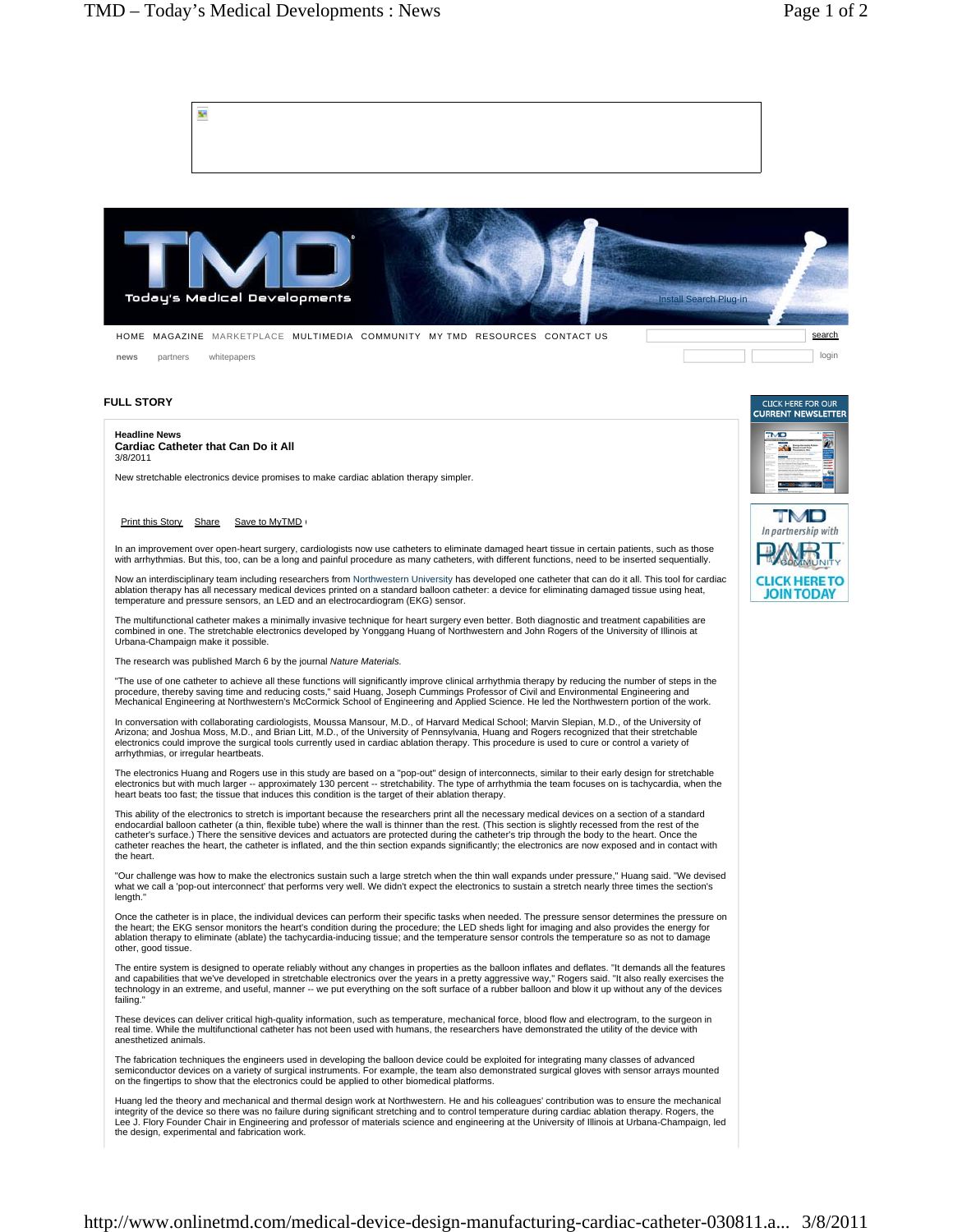